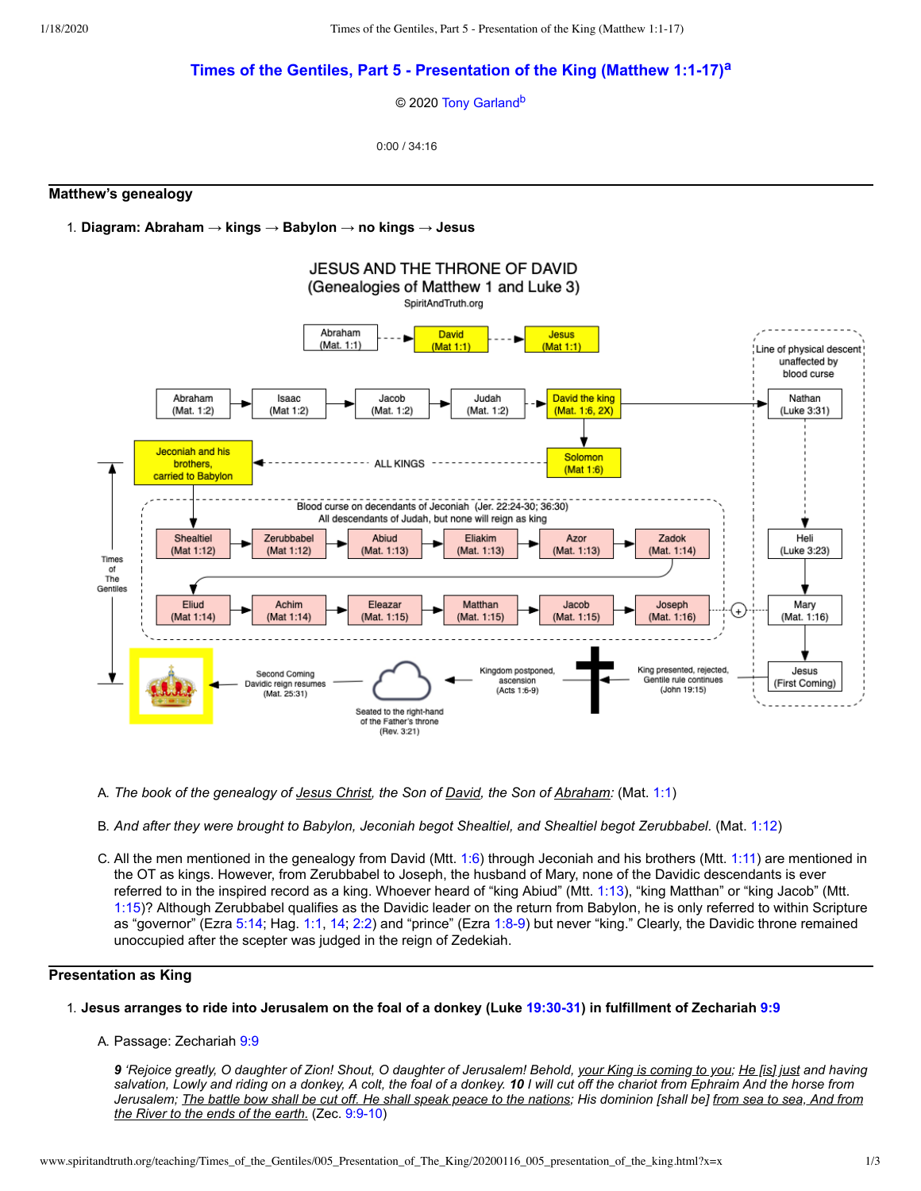# **Times of the Gentiles, Part 5 - [Presentation](http://www.spiritandtruth.org/teaching/Times_of_the_Gentiles/005_Babylon_Past_and_Future/index.htm) of the King (Matthew 1:1-17)[a](#page-2-0)**

<span id="page-0-1"></span><span id="page-0-0"></span>© 2020 [Tony Garland](http://www.spiritandtruth.org/id/tg.htm)<sup>[b](#page-2-1)</sup>

0:00 / 34:16

### **Matthew's genealogy**

1. **Diagram: Abraham → kings → Babylon → no kings → Jesus**



- A. *The book of the genealogy of Jesus Christ, the Son of David, the Son of Abraham:* (Mat. [1:1\)](http://www.spiritandtruth.org/bibles/nasb/b40c001.htm#Mat._C1V1)
- B. *And after they were brought to Babylon, Jeconiah begot Shealtiel, and Shealtiel begot Zerubbabel.* (Mat. [1:12](http://www.spiritandtruth.org/bibles/nasb/b40c001.htm#Mat._C1V12))
- C. All the men mentioned in the genealogy from David (Mtt. [1:6](http://www.spiritandtruth.org/bibles/nasb/b40c001.htm#Mat._C1V6)) through Jeconiah and his brothers (Mtt. [1:11](http://www.spiritandtruth.org/bibles/nasb/b40c001.htm#Mat._C1V11)) are mentioned in the OT as kings. However, from Zerubbabel to Joseph, the husband of Mary, none of the Davidic descendants is ever referred to in the inspired record as a king. Whoever heard of "king Abiud" (Mtt. [1:13\)](http://www.spiritandtruth.org/bibles/nasb/b40c001.htm#Mat._C1V13), "king Matthan" or "king Jacob" (Mtt. [1:15\)](http://www.spiritandtruth.org/bibles/nasb/b40c001.htm#Mat._C1V15)? Although Zerubbabel qualifies as the Davidic leader on the return from Babylon, he is only referred to within Scripture as "governor" (Ezra [5:14;](http://www.spiritandtruth.org/bibles/nasb/b15c005.htm#Ezra_C5V14) Hag. [1:1,](http://www.spiritandtruth.org/bibles/nasb/b37c001.htm#Hag._C1V1) [14;](http://www.spiritandtruth.org/bibles/nasb/b37c001.htm#Hag._C1V14) [2:2](http://www.spiritandtruth.org/bibles/nasb/b37c002.htm#Hag._C2V2)) and "prince" (Ezra [1:8-9](http://www.spiritandtruth.org/bibles/nasb/b15c001.htm#Ezra_C1V8)) but never "king." Clearly, the Davidic throne remained unoccupied after the scepter was judged in the reign of Zedekiah.

# **Presentation as King**

### 1. Jesus arranges to ride into Jerusalem on the foal of a donkey (Luke [19:30-31](http://www.spiritandtruth.org/bibles/nasb/b42c019.htm#Luke_C19V30)) in fulfillment of Zechariah [9:9](http://www.spiritandtruth.org/bibles/nasb/b38c009.htm#Zec._C9V9)

### A. Passage: Zechariah [9:9](http://www.spiritandtruth.org/bibles/nasb/b38c009.htm#Zec._C9V9)

*9 'Rejoice greatly, O daughter of Zion! Shout, O daughter of Jerusalem! Behold, your King is coming to you; He [is] just and having salvation, Lowly and riding on a donkey, A colt, the foal of a donkey. 10 I will cut off the chariot from Ephraim And the horse from Jerusalem; The battle bow shall be cut off. He shall speak peace to the nations; His dominion [shall be] from sea to sea, And from the River to the ends of the earth.* (Zec. [9:9-10](http://www.spiritandtruth.org/bibles/nasb/b38c009.htm#Zec._C9V9))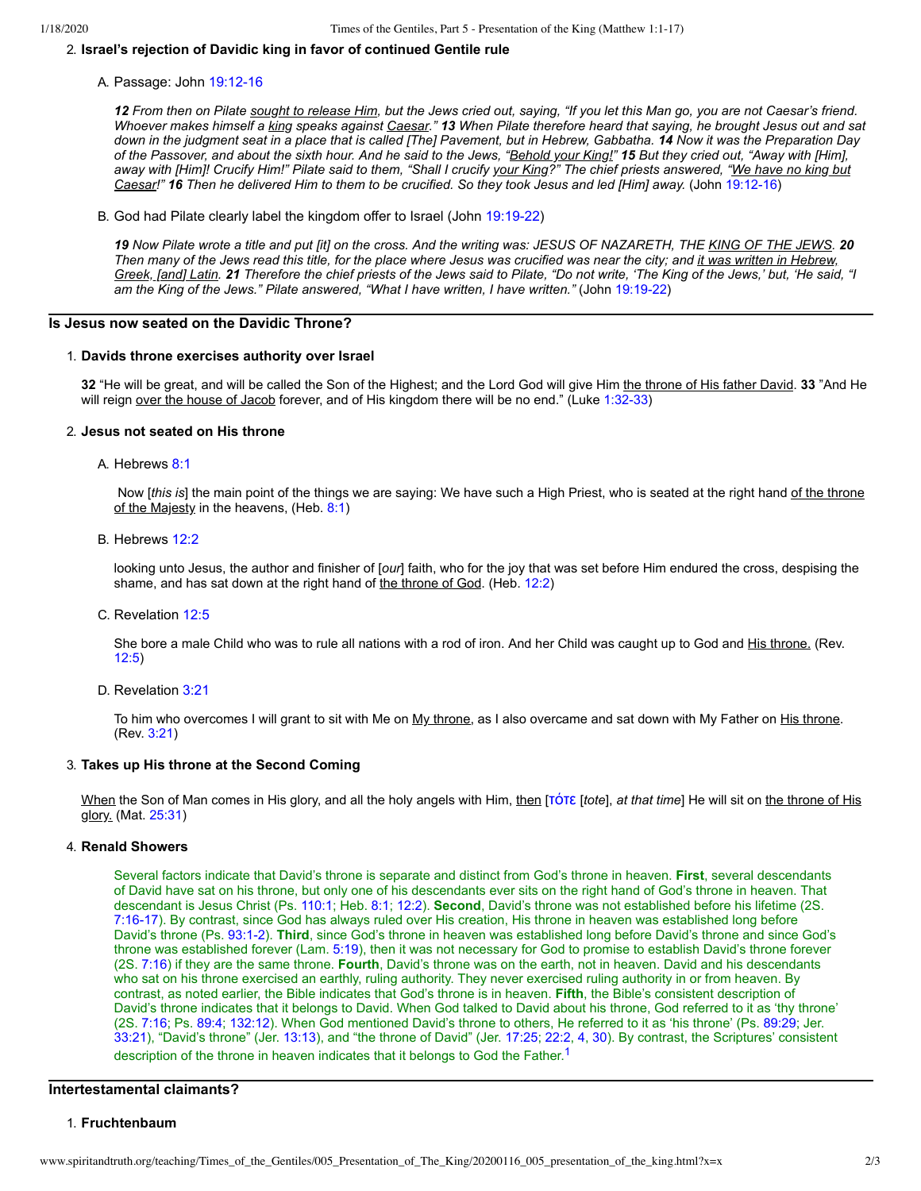## 2. **Israel's rejection of Davidic king in favor of continued Gentile rule**

A. Passage: John [19:12-16](http://www.spiritandtruth.org/bibles/nasb/b43c019.htm#John_C19V12)

*12 From then on Pilate sought to release Him, but the Jews cried out, saying, "If you let this Man go, you are not Caesar's friend. Whoever makes himself a king speaks against Caesar." 13 When Pilate therefore heard that saying, he brought Jesus out and sat down in the judgment seat in a place that is called [The] Pavement, but in Hebrew, Gabbatha. 14 Now it was the Preparation Day of the Passover, and about the sixth hour. And he said to the Jews, "Behold your King!" 15 But they cried out, "Away with [Him], away with [Him]! Crucify Him!" Pilate said to them, "Shall I crucify your King?" The chief priests answered, "We have no king but Caesar!" 16 Then he delivered Him to them to be crucified. So they took Jesus and led [Him] away.* (John [19:12-16\)](http://www.spiritandtruth.org/bibles/nasb/b43c019.htm#John_C19V12)

B. God had Pilate clearly label the kingdom offer to Israel (John [19:19-22\)](http://www.spiritandtruth.org/bibles/nasb/b43c019.htm#John_C19V19)

*19 Now Pilate wrote a title and put [it] on the cross. And the writing was: JESUS OF NAZARETH, THE KING OF THE JEWS. 20 Then many of the Jews read this title, for the place where Jesus was crucified was near the city; and it was written in Hebrew, Greek, [and] Latin. 21 Therefore the chief priests of the Jews said to Pilate, "Do not write, 'The King of the Jews,' but, 'He said, "I am the King of the Jews." Pilate answered, "What I have written, I have written."* (John [19:19-22\)](http://www.spiritandtruth.org/bibles/nasb/b43c019.htm#John_C19V19)

### **Is Jesus now seated on the Davidic Throne?**

#### 1. **Davids throne exercises authority over Israel**

**32** "He will be great, and will be called the Son of the Highest; and the Lord God will give Him the throne of His father David. **33** "And He will reign over the house of Jacob forever, and of His kingdom there will be no end." (Luke [1:32-33\)](http://www.spiritandtruth.org/bibles/nasb/b42c001.htm#Luke_C1V32)

### 2. **Jesus not seated on His throne**

A. Hebrews [8:1](http://www.spiritandtruth.org/bibles/nasb/b58c008.htm#Heb._C8V1)

 Now [*this is*] the main point of the things we are saying: We have such a High Priest, who is seated at the right hand of the throne of the Majesty in the heavens, (Heb. [8:1\)](http://www.spiritandtruth.org/bibles/nasb/b58c008.htm#Heb._C8V1)

B. Hebrews [12:2](http://www.spiritandtruth.org/bibles/nasb/b58c012.htm#Heb._C12V2)

looking unto Jesus, the author and finisher of [*our*] faith, who for the joy that was set before Him endured the cross, despising the shame, and has sat down at the right hand of the throne of God. (Heb. [12:2\)](http://www.spiritandtruth.org/bibles/nasb/b58c012.htm#Heb._C12V2)

C. Revelation [12:5](http://www.spiritandtruth.org/bibles/nasb/b66c012.htm#Rev._C12V5)

She bore a male Child who was to rule all nations with a rod of iron. And her Child was caught up to God and His throne. (Rev. [12:5\)](http://www.spiritandtruth.org/bibles/nasb/b66c012.htm#Rev._C12V5)

D. Revelation [3:21](http://www.spiritandtruth.org/bibles/nasb/b66c003.htm#Rev._C3V21)

To him who overcomes I will grant to sit with Me on My throne, as I also overcame and sat down with My Father on His throne. (Rev. [3:21\)](http://www.spiritandtruth.org/bibles/nasb/b66c003.htm#Rev._C3V21)

### 3. **Takes up His throne at the Second Coming**

When the Son of Man comes in His glory, and all the holy angels with Him, then [TOTE [tote], at that time] He will sit on the throne of His glory. (Mat. [25:31](http://www.spiritandtruth.org/bibles/nasb/b40c025.htm#Mat._C25V31))

#### 4. **Renald Showers**

<span id="page-1-0"></span>Several factors indicate that David's throne is separate and distinct from God's throne in heaven. **First**, several descendants of David have sat on his throne, but only one of his descendants ever sits on the right hand of God's throne in heaven. That descendant is Jesus Christ (Ps. [110:1](http://www.spiritandtruth.org/bibles/nasb/b19c110.htm#Ps._C110V1); Heb. [8:1](http://www.spiritandtruth.org/bibles/nasb/b58c008.htm#Heb._C8V1); [12:2\)](http://www.spiritandtruth.org/bibles/nasb/b58c012.htm#Heb._C12V2). **Second**, David's throne was not established before his lifetime (2S. [7:16-17](http://www.spiritandtruth.org/bibles/nasb/b10c007.htm#2S._C7V16)). By contrast, since God has always ruled over His creation, His throne in heaven was established long before David's throne (Ps. [93:1-2](http://www.spiritandtruth.org/bibles/nasb/b19c093.htm#Ps._C93V1)). **Third**, since God's throne in heaven was established long before David's throne and since God's throne was established forever (Lam. [5:19\)](http://www.spiritandtruth.org/bibles/nasb/b25c005.htm#Lam._C5V19), then it was not necessary for God to promise to establish David's throne forever (2S. [7:16](http://www.spiritandtruth.org/bibles/nasb/b10c007.htm#2S._C7V16)) if they are the same throne. **Fourth**, David's throne was on the earth, not in heaven. David and his descendants who sat on his throne exercised an earthly, ruling authority. They never exercised ruling authority in or from heaven. By contrast, as noted earlier, the Bible indicates that God's throne is in heaven. **Fifth**, the Bible's consistent description of David's throne indicates that it belongs to David. When God talked to David about his throne, God referred to it as 'thy throne' (2S. [7:16](http://www.spiritandtruth.org/bibles/nasb/b10c007.htm#2S._C7V16); Ps. [89:4;](http://www.spiritandtruth.org/bibles/nasb/b19c089.htm#Ps._C89V4) [132:12](http://www.spiritandtruth.org/bibles/nasb/b19c132.htm#Ps._C132V12)). When God mentioned David's throne to others, He referred to it as 'his throne' (Ps. [89:29;](http://www.spiritandtruth.org/bibles/nasb/b19c089.htm#Ps._C89V29) Jer. [33:21\)](http://www.spiritandtruth.org/bibles/nasb/b24c033.htm#Jer._C33V21), "David's throne" (Jer. [13:13](http://www.spiritandtruth.org/bibles/nasb/b24c013.htm#Jer._C13V13)), and "the throne of David" (Jer. [17:25;](http://www.spiritandtruth.org/bibles/nasb/b24c017.htm#Jer._C17V25) [22:2](http://www.spiritandtruth.org/bibles/nasb/b24c022.htm#Jer._C22V2), [4](http://www.spiritandtruth.org/bibles/nasb/b24c022.htm#Jer._C22V4), [30\)](http://www.spiritandtruth.org/bibles/nasb/b24c022.htm#Jer._C22V30). By contrast, the Scriptures' consistent description of the throne in heaven indicates that it belongs to God the Father.<sup>[1](#page-2-2)</sup>

## **Intertestamental claimants?**

### 1. **Fruchtenbaum**